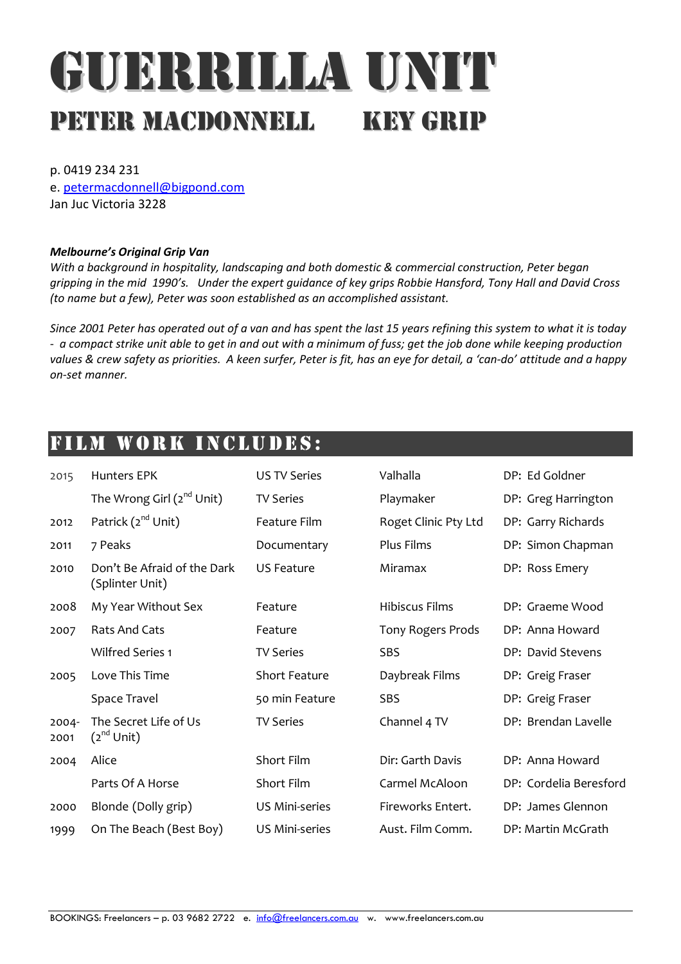# GUERRILLA UNIT PETER MACDONNELL KEY GRIP

p. 0419 234 231

e. petermacdonnell@bigpond.com Jan Juc Victoria 3228

#### Melbourne's Original Grip Van

With a background in hospitality, landscaping and both domestic & commercial construction, Peter began gripping in the mid 1990's. Under the expert guidance of key grips Robbie Hansford, Tony Hall and David Cross (to name but a few), Peter was soon established as an accomplished assistant.

Since 2001 Peter has operated out of a van and has spent the last 15 years refining this system to what it is today - a compact strike unit able to get in and out with a minimum of fuss; get the job done while keeping production values & crew safety as priorities. A keen surfer, Peter is fit, has an eye for detail, a 'can-do' attitude and a happy on-set manner.

### FILM WORK INCLUDES:

| 2015          | <b>Hunters EPK</b>                             | <b>US TV Series</b>   | Valhalla             | DP: Ed Goldner         |
|---------------|------------------------------------------------|-----------------------|----------------------|------------------------|
|               | The Wrong Girl (2 <sup>nd</sup> Unit)          | <b>TV Series</b>      | Playmaker            | DP: Greg Harrington    |
| 2012          | Patrick (2 <sup>nd</sup> Unit)                 | Feature Film          | Roget Clinic Pty Ltd | DP: Garry Richards     |
| 2011          | 7 Peaks                                        | Documentary           | Plus Films           | DP: Simon Chapman      |
| 2010          | Don't Be Afraid of the Dark<br>(Splinter Unit) | <b>US Feature</b>     | Miramax              | DP: Ross Emery         |
| 2008          | My Year Without Sex                            | Feature               | Hibiscus Films       | DP: Graeme Wood        |
| 2007          | <b>Rats And Cats</b>                           | Feature               | Tony Rogers Prods    | DP: Anna Howard        |
|               | <b>Wilfred Series 1</b>                        | <b>TV Series</b>      | <b>SBS</b>           | DP: David Stevens      |
| 2005          | Love This Time                                 | <b>Short Feature</b>  | Daybreak Films       | DP: Greig Fraser       |
|               | Space Travel                                   | 50 min Feature        | SBS                  | DP: Greig Fraser       |
| 2004-<br>2001 | The Secret Life of Us<br>$(2^{nd}$ Unit)       | <b>TV Series</b>      | Channel 4 TV         | DP: Brendan Lavelle    |
| 2004          | Alice                                          | Short Film            | Dir: Garth Davis     | DP: Anna Howard        |
|               | Parts Of A Horse                               | Short Film            | Carmel McAloon       | DP: Cordelia Beresford |
| 2000          | Blonde (Dolly grip)                            | <b>US Mini-series</b> | Fireworks Entert.    | DP: James Glennon      |
| 1999          | On The Beach (Best Boy)                        | <b>US Mini-series</b> | Aust. Film Comm.     | DP: Martin McGrath     |